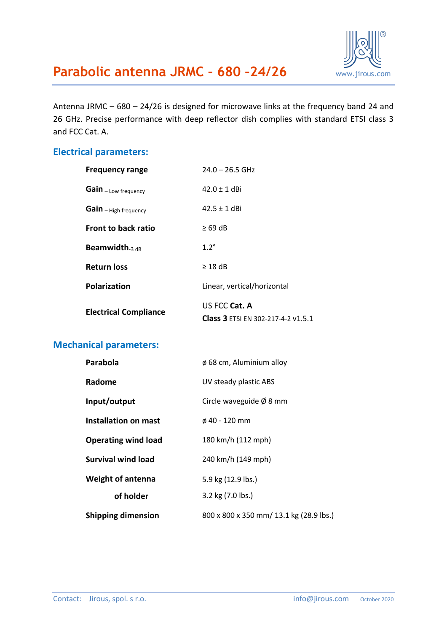

Antenna JRMC – 680 – 24/26 is designed for microwave links at the frequency band 24 and 26 GHz. Precise performance with deep reflector dish complies with standard ETSI class 3 and FCC Cat. A.

#### **Electrical parameters:**

| <b>Frequency range</b>       | $24.0 - 26.5$ GHz                                   |
|------------------------------|-----------------------------------------------------|
| Gain - Low frequency         | $42.0 \pm 1$ dBi                                    |
| Gain - High frequency        | $42.5 \pm 1$ dBi                                    |
| <b>Front to back ratio</b>   | $\geq 69$ dB                                        |
| Beamwidth. $_{3\text{ dB}}$  | $1.2^\circ$                                         |
| <b>Return loss</b>           | $\geq$ 18 dB                                        |
| <b>Polarization</b>          | Linear, vertical/horizontal                         |
| <b>Electrical Compliance</b> | US FCC Cat. A<br>Class 3 ETSI EN 302-217-4-2 v1.5.1 |

### **Mechanical parameters:**

| <b>Parabola</b>            | ø 68 cm, Aluminium alloy                |  |
|----------------------------|-----------------------------------------|--|
| Radome                     | UV steady plastic ABS                   |  |
| Input/output               | Circle waveguide $\emptyset$ 8 mm       |  |
| Installation on mast       | ø 40 - 120 mm                           |  |
| <b>Operating wind load</b> | 180 km/h (112 mph)                      |  |
| <b>Survival wind load</b>  | 240 km/h (149 mph)                      |  |
| <b>Weight of antenna</b>   | 5.9 kg (12.9 lbs.)                      |  |
| of holder                  | 3.2 kg (7.0 lbs.)                       |  |
| <b>Shipping dimension</b>  | 800 x 800 x 350 mm/ 13.1 kg (28.9 lbs.) |  |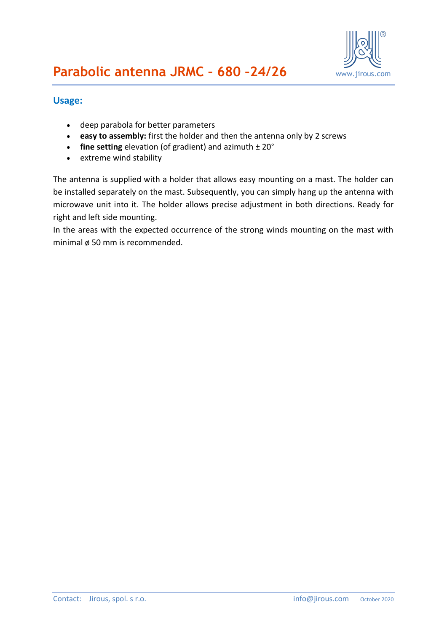

#### **Usage:**

- deep parabola for better parameters
- **easy to assembly:** first the holder and then the antenna only by 2 screws
- **fine setting** elevation (of gradient) and azimuth  $\pm 20^{\circ}$
- extreme wind stability

The antenna is supplied with a holder that allows easy mounting on a mast. The holder can be installed separately on the mast. Subsequently, you can simply hang up the antenna with microwave unit into it. The holder allows precise adjustment in both directions. Ready for right and left side mounting.

In the areas with the expected occurrence of the strong winds mounting on the mast with minimal ø 50 mm is recommended.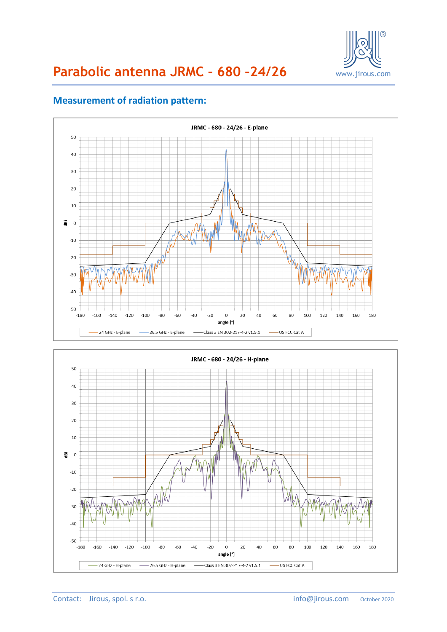

# **Parabolic antenna JRMC – 680 –24/26** www.jirous.com



## **Measurement of radiation pattern:**

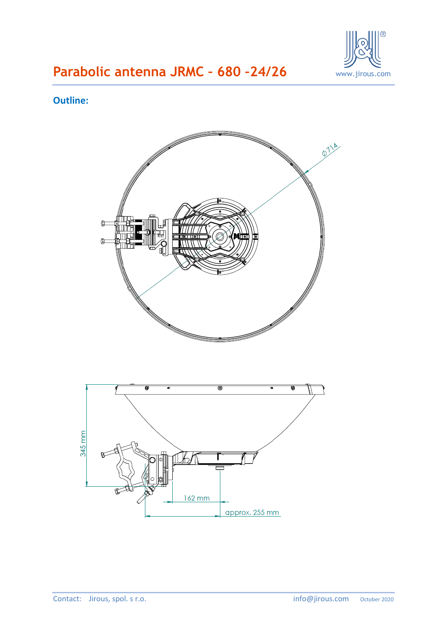

# **Parabolic antenna JRMC – 680 –24/26** www.jirous.com

### **Outline:**